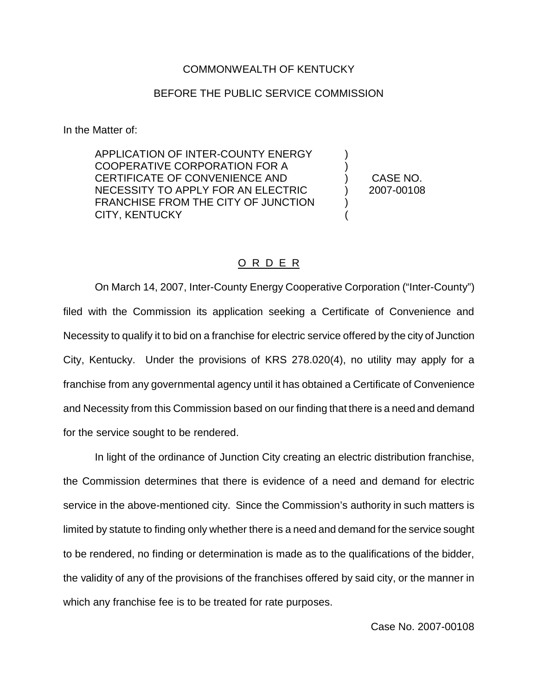## COMMONWEALTH OF KENTUCKY

## BEFORE THE PUBLIC SERVICE COMMISSION

In the Matter of:

APPLICATION OF INTER-COUNTY ENERGY COOPERATIVE CORPORATION FOR A CERTIFICATE OF CONVENIENCE AND NECESSITY TO APPLY FOR AN ELECTRIC FRANCHISE FROM THE CITY OF JUNCTION CITY, KENTUCKY

) CASE NO. ) 2007-00108

) )

> ) (

## O R D E R

On March 14, 2007, Inter-County Energy Cooperative Corporation ("Inter-County") filed with the Commission its application seeking a Certificate of Convenience and Necessity to qualify it to bid on a franchise for electric service offered by the city of Junction City, Kentucky. Under the provisions of KRS 278.020(4), no utility may apply for a franchise from any governmental agency until it has obtained a Certificate of Convenience and Necessity from this Commission based on our finding that there is a need and demand for the service sought to be rendered.

In light of the ordinance of Junction City creating an electric distribution franchise, the Commission determines that there is evidence of a need and demand for electric service in the above-mentioned city. Since the Commission's authority in such matters is limited by statute to finding only whether there is a need and demand for the service sought to be rendered, no finding or determination is made as to the qualifications of the bidder, the validity of any of the provisions of the franchises offered by said city, or the manner in which any franchise fee is to be treated for rate purposes.